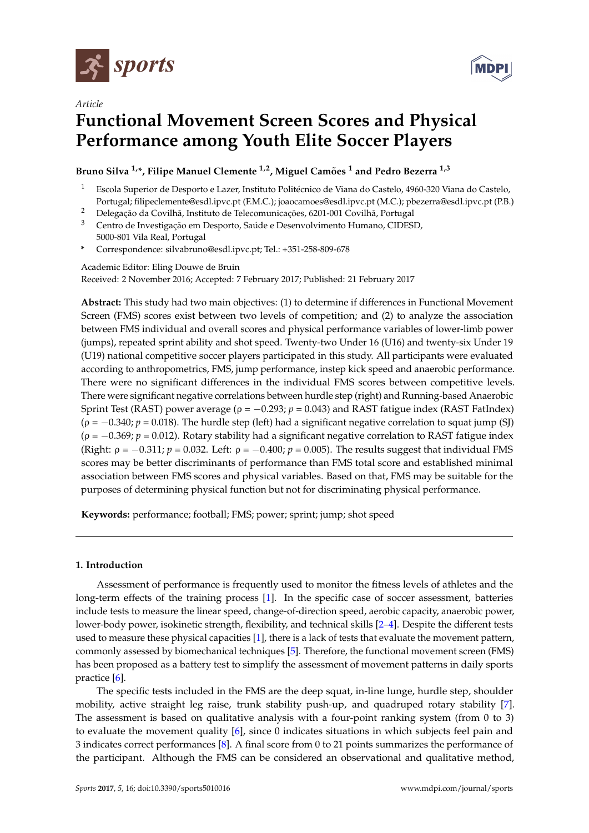

*Article*



# **Functional Movement Screen Scores and Physical Performance among Youth Elite Soccer Players**

**Bruno Silva 1,\*, Filipe Manuel Clemente 1,2, Miguel Camões <sup>1</sup> and Pedro Bezerra 1,3**

- <sup>1</sup> Escola Superior de Desporto e Lazer, Instituto Politécnico de Viana do Castelo, 4960-320 Viana do Castelo, Portugal; filipeclemente@esdl.ipvc.pt (F.M.C.); joaocamoes@esdl.ipvc.pt (M.C.); pbezerra@esdl.ipvc.pt (P.B.)
- <sup>2</sup> Delegação da Covilhã, Instituto de Telecomunicações, 6201-001 Covilhã, Portugal
- <sup>3</sup> Centro de Investigação em Desporto, Saúde e Desenvolvimento Humano, CIDESD, 5000-801 Vila Real, Portugal
- **\*** Correspondence: silvabruno@esdl.ipvc.pt; Tel.: +351-258-809-678

Academic Editor: Eling Douwe de Bruin Received: 2 November 2016; Accepted: 7 February 2017; Published: 21 February 2017

**Abstract:** This study had two main objectives: (1) to determine if differences in Functional Movement Screen (FMS) scores exist between two levels of competition; and (2) to analyze the association between FMS individual and overall scores and physical performance variables of lower-limb power (jumps), repeated sprint ability and shot speed. Twenty-two Under 16 (U16) and twenty-six Under 19 (U19) national competitive soccer players participated in this study. All participants were evaluated according to anthropometrics, FMS, jump performance, instep kick speed and anaerobic performance. There were no significant differences in the individual FMS scores between competitive levels. There were significant negative correlations between hurdle step (right) and Running-based Anaerobic Sprint Test (RAST) power average ( $ρ = -0.293$ ;  $p = 0.043$ ) and RAST fatigue index (RAST FatIndex)  $(\rho = -0.340; p = 0.018)$ . The hurdle step (left) had a significant negative correlation to squat jump (SJ) (ρ = −0.369; *p* = 0.012). Rotary stability had a significant negative correlation to RAST fatigue index (Right:  $\rho = -0.311$ ;  $p = 0.032$ . Left:  $\rho = -0.400$ ;  $p = 0.005$ ). The results suggest that individual FMS scores may be better discriminants of performance than FMS total score and established minimal association between FMS scores and physical variables. Based on that, FMS may be suitable for the purposes of determining physical function but not for discriminating physical performance.

**Keywords:** performance; football; FMS; power; sprint; jump; shot speed

# **1. Introduction**

Assessment of performance is frequently used to monitor the fitness levels of athletes and the long-term effects of the training process [\[1\]](#page-6-0). In the specific case of soccer assessment, batteries include tests to measure the linear speed, change-of-direction speed, aerobic capacity, anaerobic power, lower-body power, isokinetic strength, flexibility, and technical skills [\[2–](#page-6-1)[4\]](#page-6-2). Despite the different tests used to measure these physical capacities [\[1\]](#page-6-0), there is a lack of tests that evaluate the movement pattern, commonly assessed by biomechanical techniques [\[5\]](#page-6-3). Therefore, the functional movement screen (FMS) has been proposed as a battery test to simplify the assessment of movement patterns in daily sports practice [\[6\]](#page-7-0).

The specific tests included in the FMS are the deep squat, in-line lunge, hurdle step, shoulder mobility, active straight leg raise, trunk stability push-up, and quadruped rotary stability [\[7\]](#page-7-1). The assessment is based on qualitative analysis with a four-point ranking system (from 0 to 3) to evaluate the movement quality [\[6\]](#page-7-0), since 0 indicates situations in which subjects feel pain and 3 indicates correct performances [\[8\]](#page-7-2). A final score from 0 to 21 points summarizes the performance of the participant. Although the FMS can be considered an observational and qualitative method,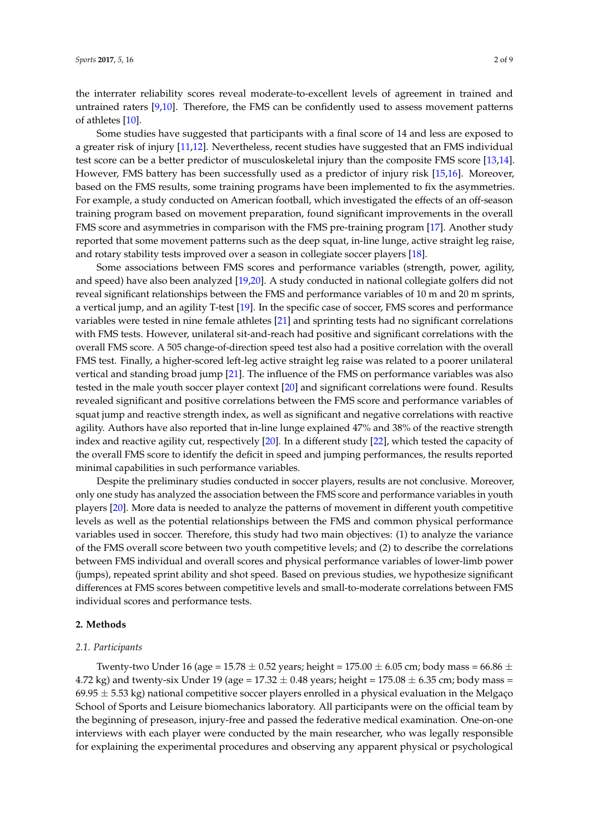the interrater reliability scores reveal moderate-to-excellent levels of agreement in trained and untrained raters [\[9](#page-7-3)[,10\]](#page-7-4). Therefore, the FMS can be confidently used to assess movement patterns of athletes [\[10\]](#page-7-4).

Some studies have suggested that participants with a final score of 14 and less are exposed to a greater risk of injury [\[11](#page-7-5)[,12\]](#page-7-6). Nevertheless, recent studies have suggested that an FMS individual test score can be a better predictor of musculoskeletal injury than the composite FMS score [\[13,](#page-7-7)[14\]](#page-7-8). However, FMS battery has been successfully used as a predictor of injury risk [\[15,](#page-7-9)[16\]](#page-7-10). Moreover, based on the FMS results, some training programs have been implemented to fix the asymmetries. For example, a study conducted on American football, which investigated the effects of an off-season training program based on movement preparation, found significant improvements in the overall FMS score and asymmetries in comparison with the FMS pre-training program [\[17\]](#page-7-11). Another study reported that some movement patterns such as the deep squat, in-line lunge, active straight leg raise, and rotary stability tests improved over a season in collegiate soccer players [\[18\]](#page-7-12).

Some associations between FMS scores and performance variables (strength, power, agility, and speed) have also been analyzed [\[19,](#page-7-13)[20\]](#page-7-14). A study conducted in national collegiate golfers did not reveal significant relationships between the FMS and performance variables of 10 m and 20 m sprints, a vertical jump, and an agility T-test [\[19\]](#page-7-13). In the specific case of soccer, FMS scores and performance variables were tested in nine female athletes [\[21\]](#page-7-15) and sprinting tests had no significant correlations with FMS tests. However, unilateral sit-and-reach had positive and significant correlations with the overall FMS score. A 505 change-of-direction speed test also had a positive correlation with the overall FMS test. Finally, a higher-scored left-leg active straight leg raise was related to a poorer unilateral vertical and standing broad jump [\[21\]](#page-7-15). The influence of the FMS on performance variables was also tested in the male youth soccer player context [\[20\]](#page-7-14) and significant correlations were found. Results revealed significant and positive correlations between the FMS score and performance variables of squat jump and reactive strength index, as well as significant and negative correlations with reactive agility. Authors have also reported that in-line lunge explained 47% and 38% of the reactive strength index and reactive agility cut, respectively [\[20\]](#page-7-14). In a different study [\[22\]](#page-7-16), which tested the capacity of the overall FMS score to identify the deficit in speed and jumping performances, the results reported minimal capabilities in such performance variables.

Despite the preliminary studies conducted in soccer players, results are not conclusive. Moreover, only one study has analyzed the association between the FMS score and performance variables in youth players [\[20\]](#page-7-14). More data is needed to analyze the patterns of movement in different youth competitive levels as well as the potential relationships between the FMS and common physical performance variables used in soccer. Therefore, this study had two main objectives: (1) to analyze the variance of the FMS overall score between two youth competitive levels; and (2) to describe the correlations between FMS individual and overall scores and physical performance variables of lower-limb power (jumps), repeated sprint ability and shot speed. Based on previous studies, we hypothesize significant differences at FMS scores between competitive levels and small-to-moderate correlations between FMS individual scores and performance tests.

## **2. Methods**

#### *2.1. Participants*

Twenty-two Under 16 (age = 15.78  $\pm$  0.52 years; height = 175.00  $\pm$  6.05 cm; body mass = 66.86  $\pm$ 4.72 kg) and twenty-six Under 19 (age =  $17.32 \pm 0.48$  years; height =  $175.08 \pm 6.35$  cm; body mass =  $69.95 \pm 5.53$  kg) national competitive soccer players enrolled in a physical evaluation in the Melgaço School of Sports and Leisure biomechanics laboratory. All participants were on the official team by the beginning of preseason, injury-free and passed the federative medical examination. One-on-one interviews with each player were conducted by the main researcher, who was legally responsible for explaining the experimental procedures and observing any apparent physical or psychological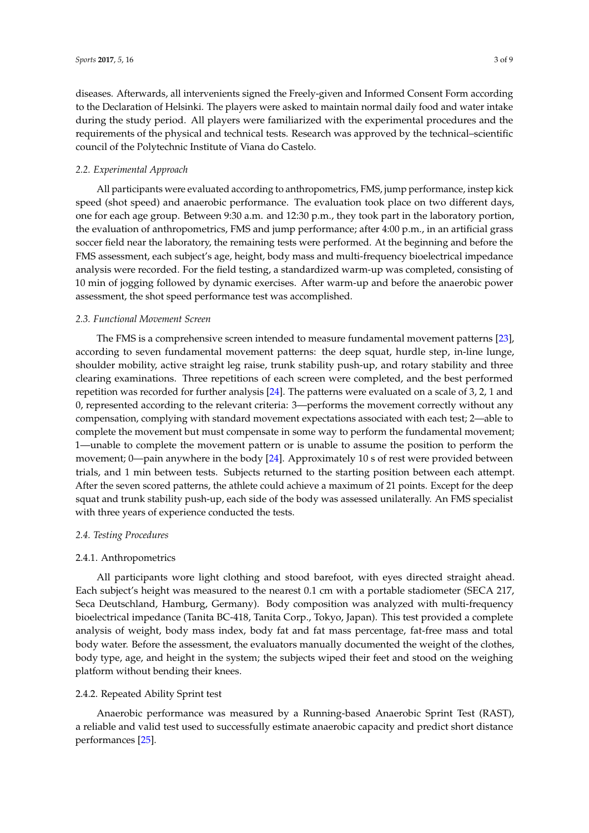diseases. Afterwards, all intervenients signed the Freely-given and Informed Consent Form according to the Declaration of Helsinki. The players were asked to maintain normal daily food and water intake during the study period. All players were familiarized with the experimental procedures and the requirements of the physical and technical tests. Research was approved by the technical–scientific council of the Polytechnic Institute of Viana do Castelo.

## *2.2. Experimental Approach*

All participants were evaluated according to anthropometrics, FMS, jump performance, instep kick speed (shot speed) and anaerobic performance. The evaluation took place on two different days, one for each age group. Between 9:30 a.m. and 12:30 p.m., they took part in the laboratory portion, the evaluation of anthropometrics, FMS and jump performance; after 4:00 p.m., in an artificial grass soccer field near the laboratory, the remaining tests were performed. At the beginning and before the FMS assessment, each subject's age, height, body mass and multi-frequency bioelectrical impedance analysis were recorded. For the field testing, a standardized warm-up was completed, consisting of 10 min of jogging followed by dynamic exercises. After warm-up and before the anaerobic power assessment, the shot speed performance test was accomplished.

# *2.3. Functional Movement Screen*

The FMS is a comprehensive screen intended to measure fundamental movement patterns [\[23\]](#page-7-17), according to seven fundamental movement patterns: the deep squat, hurdle step, in-line lunge, shoulder mobility, active straight leg raise, trunk stability push-up, and rotary stability and three clearing examinations. Three repetitions of each screen were completed, and the best performed repetition was recorded for further analysis [\[24\]](#page-7-18). The patterns were evaluated on a scale of 3, 2, 1 and 0, represented according to the relevant criteria: 3—performs the movement correctly without any compensation, complying with standard movement expectations associated with each test; 2—able to complete the movement but must compensate in some way to perform the fundamental movement; 1—unable to complete the movement pattern or is unable to assume the position to perform the movement; 0—pain anywhere in the body [\[24\]](#page-7-18). Approximately 10 s of rest were provided between trials, and 1 min between tests. Subjects returned to the starting position between each attempt. After the seven scored patterns, the athlete could achieve a maximum of 21 points. Except for the deep squat and trunk stability push-up, each side of the body was assessed unilaterally. An FMS specialist with three years of experience conducted the tests.

## *2.4. Testing Procedures*

## 2.4.1. Anthropometrics

All participants wore light clothing and stood barefoot, with eyes directed straight ahead. Each subject's height was measured to the nearest 0.1 cm with a portable stadiometer (SECA 217, Seca Deutschland, Hamburg, Germany). Body composition was analyzed with multi-frequency bioelectrical impedance (Tanita BC-418, Tanita Corp., Tokyo, Japan). This test provided a complete analysis of weight, body mass index, body fat and fat mass percentage, fat-free mass and total body water. Before the assessment, the evaluators manually documented the weight of the clothes, body type, age, and height in the system; the subjects wiped their feet and stood on the weighing platform without bending their knees.

#### 2.4.2. Repeated Ability Sprint test

Anaerobic performance was measured by a Running-based Anaerobic Sprint Test (RAST), a reliable and valid test used to successfully estimate anaerobic capacity and predict short distance performances [\[25\]](#page-7-19).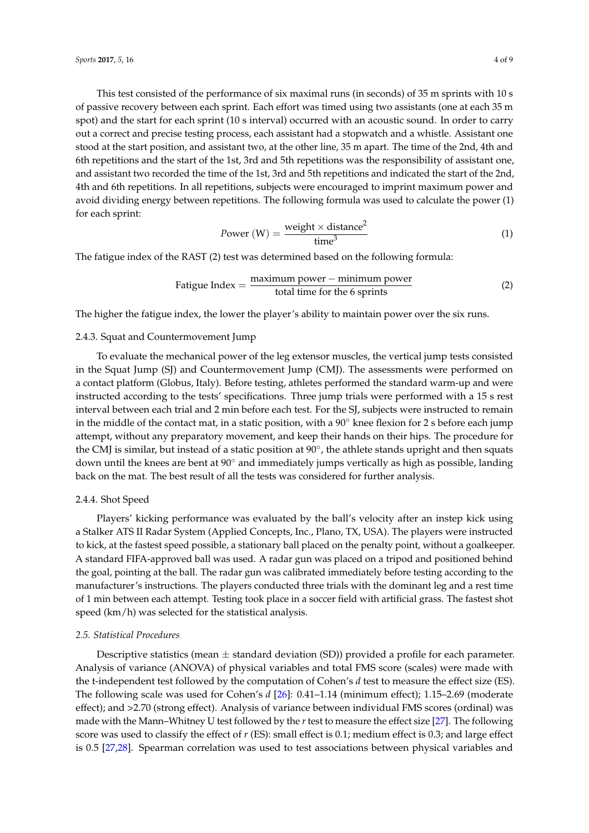This test consisted of the performance of six maximal runs (in seconds) of 35 m sprints with 10 s of passive recovery between each sprint. Each effort was timed using two assistants (one at each 35 m spot) and the start for each sprint (10 s interval) occurred with an acoustic sound. In order to carry out a correct and precise testing process, each assistant had a stopwatch and a whistle. Assistant one stood at the start position, and assistant two, at the other line, 35 m apart. The time of the 2nd, 4th and 6th repetitions and the start of the 1st, 3rd and 5th repetitions was the responsibility of assistant one, and assistant two recorded the time of the 1st, 3rd and 5th repetitions and indicated the start of the 2nd, 4th and 6th repetitions. In all repetitions, subjects were encouraged to imprint maximum power and avoid dividing energy between repetitions. The following formula was used to calculate the power (1) for each sprint:

$$
Power (W) = \frac{\text{weight} \times \text{distance}^2}{\text{time}^3}
$$
 (1)

The fatigue index of the RAST (2) test was determined based on the following formula:

$$
Fatigue Index = \frac{maximum power - minimum power}{total time for the 6 springs}
$$
 (2)

The higher the fatigue index, the lower the player's ability to maintain power over the six runs.

#### 2.4.3. Squat and Countermovement Jump

To evaluate the mechanical power of the leg extensor muscles, the vertical jump tests consisted in the Squat Jump (SJ) and Countermovement Jump (CMJ). The assessments were performed on a contact platform (Globus, Italy). Before testing, athletes performed the standard warm-up and were instructed according to the tests' specifications. Three jump trials were performed with a 15 s rest interval between each trial and 2 min before each test. For the SJ, subjects were instructed to remain in the middle of the contact mat, in a static position, with a  $90°$  knee flexion for 2 s before each jump attempt, without any preparatory movement, and keep their hands on their hips. The procedure for the CMJ is similar, but instead of a static position at 90°, the athlete stands upright and then squats down until the knees are bent at 90◦ and immediately jumps vertically as high as possible, landing back on the mat. The best result of all the tests was considered for further analysis.

#### 2.4.4. Shot Speed

Players' kicking performance was evaluated by the ball's velocity after an instep kick using a Stalker ATS II Radar System (Applied Concepts, Inc., Plano, TX, USA). The players were instructed to kick, at the fastest speed possible, a stationary ball placed on the penalty point, without a goalkeeper. A standard FIFA-approved ball was used. A radar gun was placed on a tripod and positioned behind the goal, pointing at the ball. The radar gun was calibrated immediately before testing according to the manufacturer's instructions. The players conducted three trials with the dominant leg and a rest time of 1 min between each attempt. Testing took place in a soccer field with artificial grass. The fastest shot speed (km/h) was selected for the statistical analysis.

#### *2.5. Statistical Procedures*

Descriptive statistics (mean  $\pm$  standard deviation (SD)) provided a profile for each parameter. Analysis of variance (ANOVA) of physical variables and total FMS score (scales) were made with the t-independent test followed by the computation of Cohen's *d* test to measure the effect size (ES). The following scale was used for Cohen's *d* [\[26\]](#page-7-20): 0.41–1.14 (minimum effect); 1.15–2.69 (moderate effect); and >2.70 (strong effect). Analysis of variance between individual FMS scores (ordinal) was made with the Mann–Whitney U test followed by the *r* test to measure the effect size [\[27\]](#page-7-21). The following score was used to classify the effect of *r* (ES): small effect is 0.1; medium effect is 0.3; and large effect is 0.5 [\[27](#page-7-21)[,28\]](#page-8-0). Spearman correlation was used to test associations between physical variables and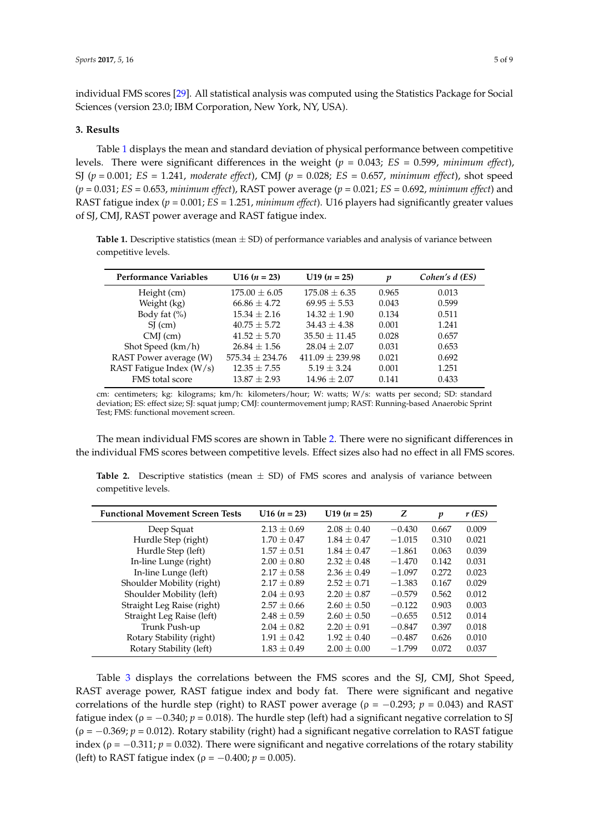individual FMS scores [\[29\]](#page-8-1). All statistical analysis was computed using the Statistics Package for Social Sciences (version 23.0; IBM Corporation, New York, NY, USA).

#### **3. Results**

Table [1](#page-4-0) displays the mean and standard deviation of physical performance between competitive levels. There were significant differences in the weight (*p* = 0.043; *ES* = 0.599, *minimum effect*), SJ (*p* = 0.001; *ES* = 1.241, *moderate effect*), CMJ (*p* = 0.028; *ES* = 0.657, *minimum effect*), shot speed (*p* = 0.031; *ES* = 0.653, *minimum effect*), RAST power average (*p* = 0.021; *ES* = 0.692, *minimum effect*) and RAST fatigue index (*p* = 0.001; *ES* = 1.251, *minimum effect*). U16 players had significantly greater values of SJ, CMJ, RAST power average and RAST fatigue index.

<span id="page-4-0"></span>**Table 1.** Descriptive statistics (mean  $\pm$  SD) of performance variables and analysis of variance between competitive levels.

| <b>Performance Variables</b> | $U16 (n = 23)$      | $U19(n = 25)$       | p     | Cohen's d (ES) |
|------------------------------|---------------------|---------------------|-------|----------------|
| Height (cm)                  | $175.00 \pm 6.05$   | $175.08 \pm 6.35$   | 0.965 | 0.013          |
| Weight (kg)                  | $66.86 \pm 4.72$    | $69.95 \pm 5.53$    | 0.043 | 0.599          |
| Body fat $(\%)$              | $15.34 \pm 2.16$    | $14.32 \pm 1.90$    | 0.134 | 0.511          |
| $SI$ (cm)                    | $40.75 \pm 5.72$    | $34.43 \pm 4.38$    | 0.001 | 1.241          |
| $CMJ$ (cm)                   | $41.52 \pm 5.70$    | $35.50 \pm 11.45$   | 0.028 | 0.657          |
| Shot Speed (km/h)            | $26.84 \pm 1.56$    | $28.04 \pm 2.07$    | 0.031 | 0.653          |
| RAST Power average (W)       | $575.34 \pm 234.76$ | $411.09 \pm 239.98$ | 0.021 | 0.692          |
| RAST Fatigue Index (W/s)     | $12.35 \pm 7.55$    | $5.19 \pm 3.24$     | 0.001 | 1.251          |
| FMS total score              | $13.87 \pm 2.93$    | $14.96 \pm 2.07$    | 0.141 | 0.433          |

cm: centimeters; kg: kilograms; km/h: kilometers/hour; W: watts; W/s: watts per second; SD: standard deviation; ES: effect size; SJ: squat jump; CMJ: countermovement jump; RAST: Running-based Anaerobic Sprint Test; FMS: functional movement screen.

The mean individual FMS scores are shown in Table [2.](#page-4-1) There were no significant differences in the individual FMS scores between competitive levels. Effect sizes also had no effect in all FMS scores.

| <b>Functional Movement Screen Tests</b> | $U16 (n = 23)$  | U19 $(n = 25)$  | Z        | p     | r(ES) |
|-----------------------------------------|-----------------|-----------------|----------|-------|-------|
| Deep Squat                              | $2.13 \pm 0.69$ | $2.08 \pm 0.40$ | $-0.430$ | 0.667 | 0.009 |
| Hurdle Step (right)                     | $1.70 \pm 0.47$ | $1.84 \pm 0.47$ | $-1.015$ | 0.310 | 0.021 |
| Hurdle Step (left)                      | $1.57 \pm 0.51$ | $1.84 \pm 0.47$ | $-1.861$ | 0.063 | 0.039 |
| In-line Lunge (right)                   | $2.00 \pm 0.80$ | $2.32 \pm 0.48$ | $-1.470$ | 0.142 | 0.031 |
| In-line Lunge (left)                    | $2.17 \pm 0.58$ | $2.36 \pm 0.49$ | $-1.097$ | 0.272 | 0.023 |
| Shoulder Mobility (right)               | $2.17 \pm 0.89$ | $2.52 \pm 0.71$ | $-1.383$ | 0.167 | 0.029 |
| Shoulder Mobility (left)                | $2.04 \pm 0.93$ | $2.20 \pm 0.87$ | $-0.579$ | 0.562 | 0.012 |
| Straight Leg Raise (right)              | $2.57 \pm 0.66$ | $2.60 \pm 0.50$ | $-0.122$ | 0.903 | 0.003 |
| Straight Leg Raise (left)               | $2.48 \pm 0.59$ | $2.60 \pm 0.50$ | $-0.655$ | 0.512 | 0.014 |
| Trunk Push-up                           | $2.04 \pm 0.82$ | $2.20 \pm 0.91$ | $-0.847$ | 0.397 | 0.018 |
| Rotary Stability (right)                | $1.91 \pm 0.42$ | $1.92 \pm 0.40$ | $-0.487$ | 0.626 | 0.010 |
| Rotary Stability (left)                 | $1.83 \pm 0.49$ | $2.00 \pm 0.00$ | $-1.799$ | 0.072 | 0.037 |

<span id="page-4-1"></span>**Table 2.** Descriptive statistics (mean  $\pm$  SD) of FMS scores and analysis of variance between competitive levels.

Table [3](#page-5-0) displays the correlations between the FMS scores and the SJ, CMJ, Shot Speed, RAST average power, RAST fatigue index and body fat. There were significant and negative correlations of the hurdle step (right) to RAST power average ( $\rho = -0.293$ ;  $p = 0.043$ ) and RAST fatigue index ( $\rho = -0.340$ ;  $p = 0.018$ ). The hurdle step (left) had a significant negative correlation to SJ  $(\rho = -0.369; p = 0.012)$ . Rotary stability (right) had a significant negative correlation to RAST fatigue index ( $\rho = -0.311$ ;  $p = 0.032$ ). There were significant and negative correlations of the rotary stability (left) to RAST fatigue index ( $\rho = -0.400; p = 0.005$ ).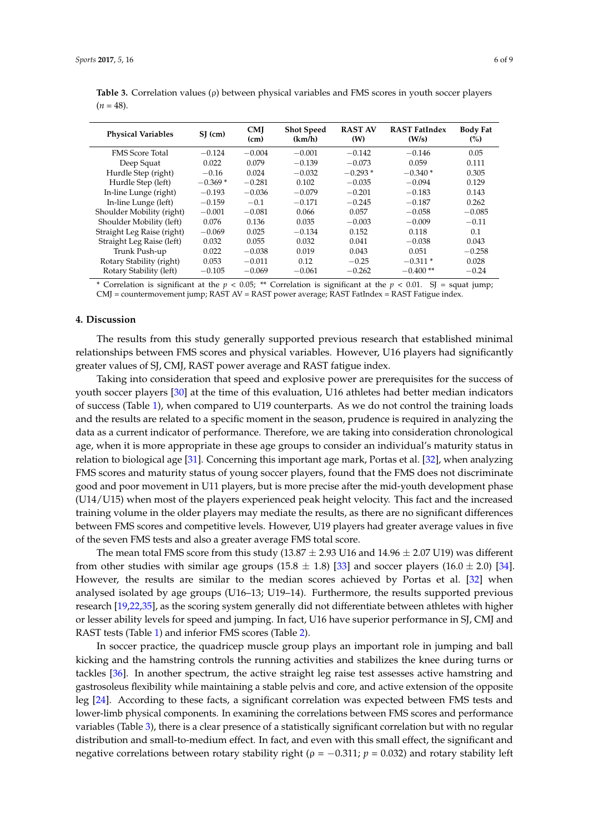| <b>Physical Variables</b>  | $SI$ (cm) | <b>CMI</b><br>(cm) | <b>Shot Speed</b><br>(km/h) | <b>RAST AV</b><br>(W) | <b>RAST FatIndex</b><br>(W/s) | <b>Body Fat</b><br>(%) |
|----------------------------|-----------|--------------------|-----------------------------|-----------------------|-------------------------------|------------------------|
| <b>FMS</b> Score Total     | $-0.124$  | $-0.004$           | $-0.001$                    | $-0.142$              | $-0.146$                      | 0.05                   |
| Deep Squat                 | 0.022     | 0.079              | $-0.139$                    | $-0.073$              | 0.059                         | 0.111                  |
| Hurdle Step (right)        | $-0.16$   | 0.024              | $-0.032$                    | $-0.293*$             | $-0.340*$                     | 0.305                  |
| Hurdle Step (left)         | $-0.369*$ | $-0.281$           | 0.102                       | $-0.035$              | $-0.094$                      | 0.129                  |
| In-line Lunge (right)      | $-0.193$  | $-0.036$           | $-0.079$                    | $-0.201$              | $-0.183$                      | 0.143                  |
| In-line Lunge (left)       | $-0.159$  | $-0.1$             | $-0.171$                    | $-0.245$              | $-0.187$                      | 0.262                  |
| Shoulder Mobility (right)  | $-0.001$  | $-0.081$           | 0.066                       | 0.057                 | $-0.058$                      | $-0.085$               |
| Shoulder Mobility (left)   | 0.076     | 0.136              | 0.035                       | $-0.003$              | $-0.009$                      | $-0.11$                |
| Straight Leg Raise (right) | $-0.069$  | 0.025              | $-0.134$                    | 0.152                 | 0.118                         | 0.1                    |
| Straight Leg Raise (left)  | 0.032     | 0.055              | 0.032                       | 0.041                 | $-0.038$                      | 0.043                  |
| Trunk Push-up              | 0.022     | $-0.038$           | 0.019                       | 0.043                 | 0.051                         | $-0.258$               |
| Rotary Stability (right)   | 0.053     | $-0.011$           | 0.12                        | $-0.25$               | $-0.311*$                     | 0.028                  |
| Rotary Stability (left)    | $-0.105$  | $-0.069$           | $-0.061$                    | $-0.262$              | $-0.400**$                    | $-0.24$                |

<span id="page-5-0"></span>**Table 3.** Correlation values (ρ) between physical variables and FMS scores in youth soccer players  $(n = 48)$ .

\* Correlation is significant at the  $p < 0.05$ ; \*\* Correlation is significant at the  $p < 0.01$ . SJ = squat jump; CMJ = countermovement jump; RAST AV = RAST power average; RAST FatIndex = RAST Fatigue index.

# **4. Discussion**

The results from this study generally supported previous research that established minimal relationships between FMS scores and physical variables. However, U16 players had significantly greater values of SJ, CMJ, RAST power average and RAST fatigue index.

Taking into consideration that speed and explosive power are prerequisites for the success of youth soccer players [\[30\]](#page-8-2) at the time of this evaluation, U16 athletes had better median indicators of success (Table [1\)](#page-4-0), when compared to U19 counterparts. As we do not control the training loads and the results are related to a specific moment in the season, prudence is required in analyzing the data as a current indicator of performance. Therefore, we are taking into consideration chronological age, when it is more appropriate in these age groups to consider an individual's maturity status in relation to biological age [\[31\]](#page-8-3). Concerning this important age mark, Portas et al. [\[32\]](#page-8-4), when analyzing FMS scores and maturity status of young soccer players, found that the FMS does not discriminate good and poor movement in U11 players, but is more precise after the mid-youth development phase (U14/U15) when most of the players experienced peak height velocity. This fact and the increased training volume in the older players may mediate the results, as there are no significant differences between FMS scores and competitive levels. However, U19 players had greater average values in five of the seven FMS tests and also a greater average FMS total score.

The mean total FMS score from this study  $(13.87 \pm 2.93 \text{ U16} \text{ and } 14.96 \pm 2.07 \text{ U19})$  was different from other studies with similar age groups (15.8  $\pm$  1.8) [\[33\]](#page-8-5) and soccer players (16.0  $\pm$  2.0) [\[34\]](#page-8-6). However, the results are similar to the median scores achieved by Portas et al. [\[32\]](#page-8-4) when analysed isolated by age groups (U16–13; U19–14). Furthermore, the results supported previous research [\[19](#page-7-13)[,22,](#page-7-16)[35\]](#page-8-7), as the scoring system generally did not differentiate between athletes with higher or lesser ability levels for speed and jumping. In fact, U16 have superior performance in SJ, CMJ and RAST tests (Table [1\)](#page-4-0) and inferior FMS scores (Table [2\)](#page-4-1).

In soccer practice, the quadricep muscle group plays an important role in jumping and ball kicking and the hamstring controls the running activities and stabilizes the knee during turns or tackles [\[36\]](#page-8-8). In another spectrum, the active straight leg raise test assesses active hamstring and gastrosoleus flexibility while maintaining a stable pelvis and core, and active extension of the opposite leg [\[24\]](#page-7-18). According to these facts, a significant correlation was expected between FMS tests and lower-limb physical components. In examining the correlations between FMS scores and performance variables (Table [3\)](#page-5-0), there is a clear presence of a statistically significant correlation but with no regular distribution and small-to-medium effect. In fact, and even with this small effect, the significant and negative correlations between rotary stability right ( $\rho = -0.311$ ;  $p = 0.032$ ) and rotary stability left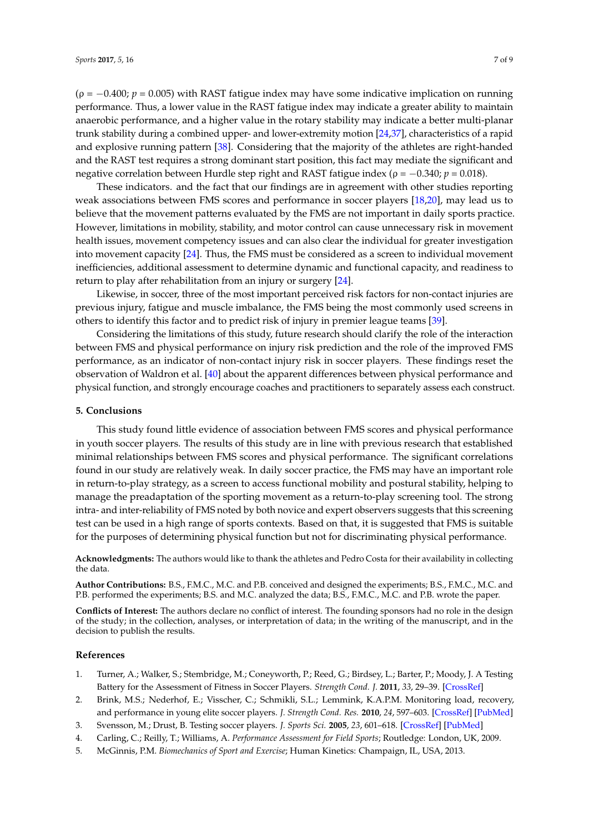$(\rho = -0.400; p = 0.005)$  with RAST fatigue index may have some indicative implication on running performance. Thus, a lower value in the RAST fatigue index may indicate a greater ability to maintain anaerobic performance, and a higher value in the rotary stability may indicate a better multi-planar trunk stability during a combined upper- and lower-extremity motion [\[24,](#page-7-18)[37\]](#page-8-9), characteristics of a rapid and explosive running pattern [\[38\]](#page-8-10). Considering that the majority of the athletes are right-handed and the RAST test requires a strong dominant start position, this fact may mediate the significant and negative correlation between Hurdle step right and RAST fatigue index (ρ = −0.340; *p* = 0.018).

These indicators. and the fact that our findings are in agreement with other studies reporting weak associations between FMS scores and performance in soccer players [\[18](#page-7-12)[,20\]](#page-7-14), may lead us to believe that the movement patterns evaluated by the FMS are not important in daily sports practice. However, limitations in mobility, stability, and motor control can cause unnecessary risk in movement health issues, movement competency issues and can also clear the individual for greater investigation into movement capacity [\[24\]](#page-7-18). Thus, the FMS must be considered as a screen to individual movement inefficiencies, additional assessment to determine dynamic and functional capacity, and readiness to return to play after rehabilitation from an injury or surgery [\[24\]](#page-7-18).

Likewise, in soccer, three of the most important perceived risk factors for non-contact injuries are previous injury, fatigue and muscle imbalance, the FMS being the most commonly used screens in others to identify this factor and to predict risk of injury in premier league teams [\[39\]](#page-8-11).

Considering the limitations of this study, future research should clarify the role of the interaction between FMS and physical performance on injury risk prediction and the role of the improved FMS performance, as an indicator of non-contact injury risk in soccer players. These findings reset the observation of Waldron et al. [\[40\]](#page-8-12) about the apparent differences between physical performance and physical function, and strongly encourage coaches and practitioners to separately assess each construct.

## **5. Conclusions**

This study found little evidence of association between FMS scores and physical performance in youth soccer players. The results of this study are in line with previous research that established minimal relationships between FMS scores and physical performance. The significant correlations found in our study are relatively weak. In daily soccer practice, the FMS may have an important role in return-to-play strategy, as a screen to access functional mobility and postural stability, helping to manage the preadaptation of the sporting movement as a return-to-play screening tool. The strong intra- and inter-reliability of FMS noted by both novice and expert observers suggests that this screening test can be used in a high range of sports contexts. Based on that, it is suggested that FMS is suitable for the purposes of determining physical function but not for discriminating physical performance.

**Acknowledgments:** The authors would like to thank the athletes and Pedro Costa for their availability in collecting the data.

**Author Contributions:** B.S., F.M.C., M.C. and P.B. conceived and designed the experiments; B.S., F.M.C., M.C. and P.B. performed the experiments; B.S. and M.C. analyzed the data; B.S., F.M.C., M.C. and P.B. wrote the paper.

**Conflicts of Interest:** The authors declare no conflict of interest. The founding sponsors had no role in the design of the study; in the collection, analyses, or interpretation of data; in the writing of the manuscript, and in the decision to publish the results.

#### **References**

- <span id="page-6-0"></span>1. Turner, A.; Walker, S.; Stembridge, M.; Coneyworth, P.; Reed, G.; Birdsey, L.; Barter, P.; Moody, J. A Testing Battery for the Assessment of Fitness in Soccer Players. *Strength Cond. J.* **2011**, *33*, 29–39. [\[CrossRef\]](http://dx.doi.org/10.1519/SSC.0b013e31822fc80a)
- <span id="page-6-1"></span>2. Brink, M.S.; Nederhof, E.; Visscher, C.; Schmikli, S.L.; Lemmink, K.A.P.M. Monitoring load, recovery, and performance in young elite soccer players. *J. Strength Cond. Res.* **2010**, *24*, 597–603. [\[CrossRef\]](http://dx.doi.org/10.1519/JSC.0b013e3181c4d38b) [\[PubMed\]](http://www.ncbi.nlm.nih.gov/pubmed/20145570)
- <span id="page-6-2"></span>3. Svensson, M.; Drust, B. Testing soccer players. *J. Sports Sci.* **2005**, *23*, 601–618. [\[CrossRef\]](http://dx.doi.org/10.1080/02640410400021294) [\[PubMed\]](http://www.ncbi.nlm.nih.gov/pubmed/16195009)
- 4. Carling, C.; Reilly, T.; Williams, A. *Performance Assessment for Field Sports*; Routledge: London, UK, 2009.
- <span id="page-6-3"></span>5. McGinnis, P.M. *Biomechanics of Sport and Exercise*; Human Kinetics: Champaign, IL, USA, 2013.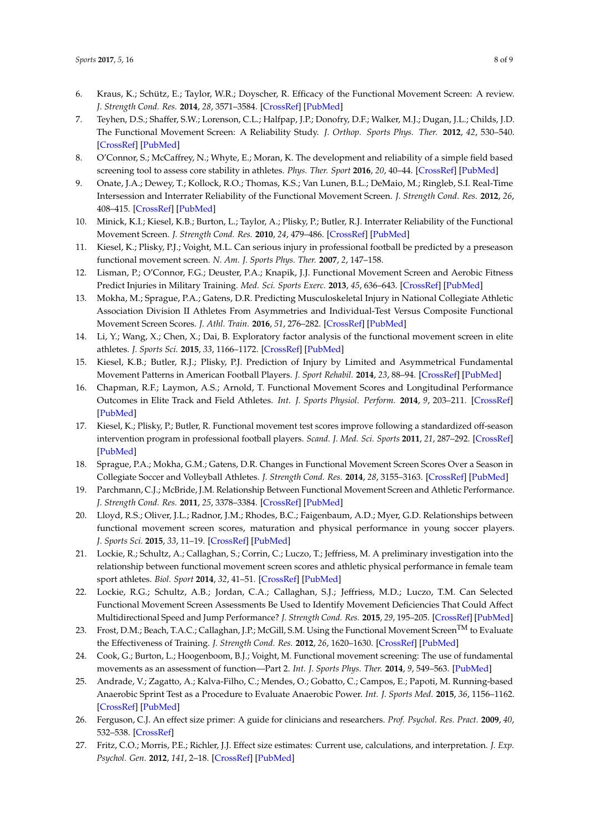- <span id="page-7-0"></span>6. Kraus, K.; Schütz, E.; Taylor, W.R.; Doyscher, R. Efficacy of the Functional Movement Screen: A review. *J. Strength Cond. Res.* **2014**, *28*, 3571–3584. [\[CrossRef\]](http://dx.doi.org/10.1519/JSC.0000000000000556) [\[PubMed\]](http://www.ncbi.nlm.nih.gov/pubmed/24918299)
- <span id="page-7-1"></span>7. Teyhen, D.S.; Shaffer, S.W.; Lorenson, C.L.; Halfpap, J.P.; Donofry, D.F.; Walker, M.J.; Dugan, J.L.; Childs, J.D. The Functional Movement Screen: A Reliability Study. *J. Orthop. Sports Phys. Ther.* **2012**, *42*, 530–540. [\[CrossRef\]](http://dx.doi.org/10.2519/jospt.2012.3838) [\[PubMed\]](http://www.ncbi.nlm.nih.gov/pubmed/22585621)
- <span id="page-7-2"></span>8. O'Connor, S.; McCaffrey, N.; Whyte, E.; Moran, K. The development and reliability of a simple field based screening tool to assess core stability in athletes. *Phys. Ther. Sport* **2016**, *20*, 40–44. [\[CrossRef\]](http://dx.doi.org/10.1016/j.ptsp.2015.12.003) [\[PubMed\]](http://www.ncbi.nlm.nih.gov/pubmed/27325538)
- <span id="page-7-3"></span>9. Onate, J.A.; Dewey, T.; Kollock, R.O.; Thomas, K.S.; Van Lunen, B.L.; DeMaio, M.; Ringleb, S.I. Real-Time Intersession and Interrater Reliability of the Functional Movement Screen. *J. Strength Cond. Res.* **2012**, *26*, 408–415. [\[CrossRef\]](http://dx.doi.org/10.1519/JSC.0b013e318220e6fa) [\[PubMed\]](http://www.ncbi.nlm.nih.gov/pubmed/22266547)
- <span id="page-7-4"></span>10. Minick, K.I.; Kiesel, K.B.; Burton, L.; Taylor, A.; Plisky, P.; Butler, R.J. Interrater Reliability of the Functional Movement Screen. *J. Strength Cond. Res.* **2010**, *24*, 479–486. [\[CrossRef\]](http://dx.doi.org/10.1519/JSC.0b013e3181c09c04) [\[PubMed\]](http://www.ncbi.nlm.nih.gov/pubmed/20072050)
- <span id="page-7-5"></span>11. Kiesel, K.; Plisky, P.J.; Voight, M.L. Can serious injury in professional football be predicted by a preseason functional movement screen. *N. Am. J. Sports Phys. Ther.* **2007**, *2*, 147–158.
- <span id="page-7-6"></span>12. Lisman, P.; O'Connor, F.G.; Deuster, P.A.; Knapik, J.J. Functional Movement Screen and Aerobic Fitness Predict Injuries in Military Training. *Med. Sci. Sports Exerc.* **2013**, *45*, 636–643. [\[CrossRef\]](http://dx.doi.org/10.1249/MSS.0b013e31827a1c4c) [\[PubMed\]](http://www.ncbi.nlm.nih.gov/pubmed/23190584)
- <span id="page-7-7"></span>13. Mokha, M.; Sprague, P.A.; Gatens, D.R. Predicting Musculoskeletal Injury in National Collegiate Athletic Association Division II Athletes From Asymmetries and Individual-Test Versus Composite Functional Movement Screen Scores. *J. Athl. Train.* **2016**, *51*, 276–282. [\[CrossRef\]](http://dx.doi.org/10.4085/1062-6050-51.2.07) [\[PubMed\]](http://www.ncbi.nlm.nih.gov/pubmed/26794630)
- <span id="page-7-8"></span>14. Li, Y.; Wang, X.; Chen, X.; Dai, B. Exploratory factor analysis of the functional movement screen in elite athletes. *J. Sports Sci.* **2015**, *33*, 1166–1172. [\[CrossRef\]](http://dx.doi.org/10.1080/02640414.2014.986505) [\[PubMed\]](http://www.ncbi.nlm.nih.gov/pubmed/25465117)
- <span id="page-7-9"></span>15. Kiesel, K.B.; Butler, R.J.; Plisky, P.J. Prediction of Injury by Limited and Asymmetrical Fundamental Movement Patterns in American Football Players. *J. Sport Rehabil.* **2014**, *23*, 88–94. [\[CrossRef\]](http://dx.doi.org/10.1123/JSR.2012-0130) [\[PubMed\]](http://www.ncbi.nlm.nih.gov/pubmed/24225032)
- <span id="page-7-10"></span>16. Chapman, R.F.; Laymon, A.S.; Arnold, T. Functional Movement Scores and Longitudinal Performance Outcomes in Elite Track and Field Athletes. *Int. J. Sports Physiol. Perform.* **2014**, *9*, 203–211. [\[CrossRef\]](http://dx.doi.org/10.1123/ijspp.2012-0329) [\[PubMed\]](http://www.ncbi.nlm.nih.gov/pubmed/23630121)
- <span id="page-7-11"></span>17. Kiesel, K.; Plisky, P.; Butler, R. Functional movement test scores improve following a standardized off-season intervention program in professional football players. *Scand. J. Med. Sci. Sports* **2011**, *21*, 287–292. [\[CrossRef\]](http://dx.doi.org/10.1111/j.1600-0838.2009.01038.x) [\[PubMed\]](http://www.ncbi.nlm.nih.gov/pubmed/20030782)
- <span id="page-7-12"></span>18. Sprague, P.A.; Mokha, G.M.; Gatens, D.R. Changes in Functional Movement Screen Scores Over a Season in Collegiate Soccer and Volleyball Athletes. *J. Strength Cond. Res.* **2014**, *28*, 3155–3163. [\[CrossRef\]](http://dx.doi.org/10.1519/JSC.0000000000000506) [\[PubMed\]](http://www.ncbi.nlm.nih.gov/pubmed/24796980)
- <span id="page-7-13"></span>19. Parchmann, C.J.; McBride, J.M. Relationship Between Functional Movement Screen and Athletic Performance. *J. Strength Cond. Res.* **2011**, *25*, 3378–3384. [\[CrossRef\]](http://dx.doi.org/10.1519/JSC.0b013e318238e916) [\[PubMed\]](http://www.ncbi.nlm.nih.gov/pubmed/21964425)
- <span id="page-7-14"></span>20. Lloyd, R.S.; Oliver, J.L.; Radnor, J.M.; Rhodes, B.C.; Faigenbaum, A.D.; Myer, G.D. Relationships between functional movement screen scores, maturation and physical performance in young soccer players. *J. Sports Sci.* **2015**, *33*, 11–19. [\[CrossRef\]](http://dx.doi.org/10.1080/02640414.2014.918642) [\[PubMed\]](http://www.ncbi.nlm.nih.gov/pubmed/24857046)
- <span id="page-7-15"></span>21. Lockie, R.; Schultz, A.; Callaghan, S.; Corrin, C.; Luczo, T.; Jeffriess, M. A preliminary investigation into the relationship between functional movement screen scores and athletic physical performance in female team sport athletes. *Biol. Sport* **2014**, *32*, 41–51. [\[CrossRef\]](http://dx.doi.org/10.5604/20831862.1127281) [\[PubMed\]](http://www.ncbi.nlm.nih.gov/pubmed/25729149)
- <span id="page-7-16"></span>22. Lockie, R.G.; Schultz, A.B.; Jordan, C.A.; Callaghan, S.J.; Jeffriess, M.D.; Luczo, T.M. Can Selected Functional Movement Screen Assessments Be Used to Identify Movement Deficiencies That Could Affect Multidirectional Speed and Jump Performance? *J. Strength Cond. Res.* **2015**, *29*, 195–205. [\[CrossRef\]](http://dx.doi.org/10.1519/JSC.0000000000000613) [\[PubMed\]](http://www.ncbi.nlm.nih.gov/pubmed/25028993)
- <span id="page-7-17"></span>23. Frost, D.M.; Beach, T.A.C.; Callaghan, J.P.; McGill, S.M. Using the Functional Movement Screen<sup>TM</sup> to Evaluate the Effectiveness of Training. *J. Strength Cond. Res.* **2012**, *26*, 1620–1630. [\[CrossRef\]](http://dx.doi.org/10.1519/JSC.0b013e318234ec59) [\[PubMed\]](http://www.ncbi.nlm.nih.gov/pubmed/21921825)
- <span id="page-7-18"></span>24. Cook, G.; Burton, L.; Hoogenboom, B.J.; Voight, M. Functional movement screening: The use of fundamental movements as an assessment of function—Part 2. *Int. J. Sports Phys. Ther.* **2014**, *9*, 549–563. [\[PubMed\]](http://www.ncbi.nlm.nih.gov/pubmed/25133083)
- <span id="page-7-19"></span>25. Andrade, V.; Zagatto, A.; Kalva-Filho, C.; Mendes, O.; Gobatto, C.; Campos, E.; Papoti, M. Running-based Anaerobic Sprint Test as a Procedure to Evaluate Anaerobic Power. *Int. J. Sports Med.* **2015**, *36*, 1156–1162. [\[CrossRef\]](http://dx.doi.org/10.1055/s-0035-1555935) [\[PubMed\]](http://www.ncbi.nlm.nih.gov/pubmed/26422055)
- <span id="page-7-20"></span>26. Ferguson, C.J. An effect size primer: A guide for clinicians and researchers. *Prof. Psychol. Res. Pract.* **2009**, *40*, 532–538. [\[CrossRef\]](http://dx.doi.org/10.1037/a0015808)
- <span id="page-7-21"></span>27. Fritz, C.O.; Morris, P.E.; Richler, J.J. Effect size estimates: Current use, calculations, and interpretation. *J. Exp. Psychol. Gen.* **2012**, *141*, 2–18. [\[CrossRef\]](http://dx.doi.org/10.1037/a0024338) [\[PubMed\]](http://www.ncbi.nlm.nih.gov/pubmed/21823805)